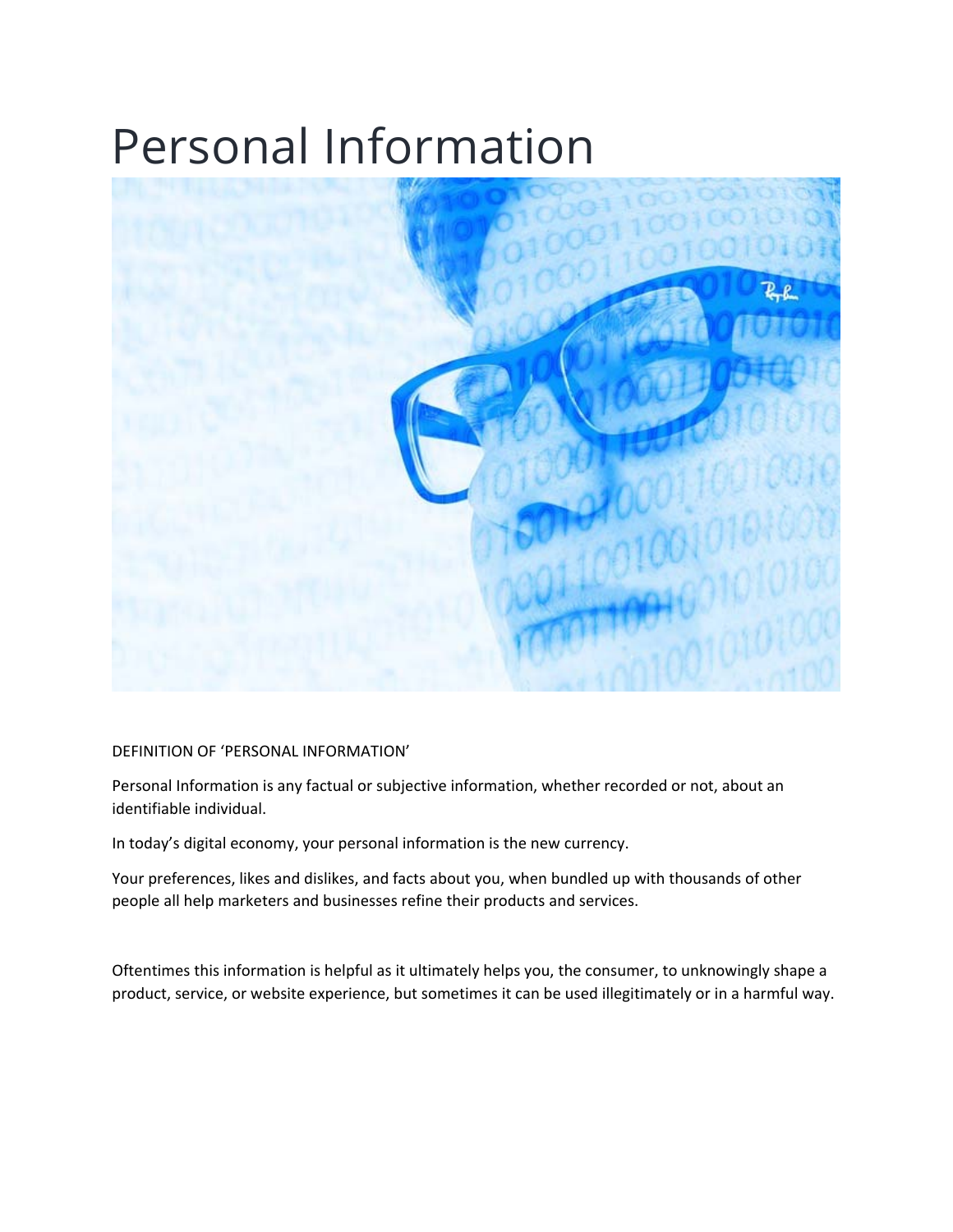## Personal Information



DEFINITION OF 'PERSONAL INFORMATION'

Personal Information is any factual or subjective information, whether recorded or not, about an identifiable individual.

In today's digital economy, your personal information is the new currency.

Your preferences, likes and dislikes, and facts about you, when bundled up with thousands of other people all help marketers and businesses refine their products and services.

Oftentimes this information is helpful as it ultimately helps you, the consumer, to unknowingly shape a product, service, or website experience, but sometimes it can be used illegitimately or in a harmful way.